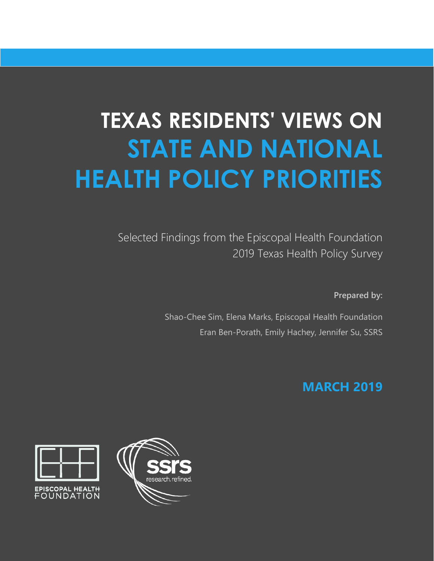# **TEXAS RESIDENTS' VIEWS ON STATE AND NATIONAL HEALTH POLICY PRIORITIES**

Selected Findings from the Episcopal Health Foundation 2019 Texas Health Policy Survey

**Prepared by:** 

Shao-Chee Sim, Elena Marks, Episcopal Health Foundation Eran Ben-Porath, Emily Hachey, Jennifer Su, SSRS

# **MARCH 2019**



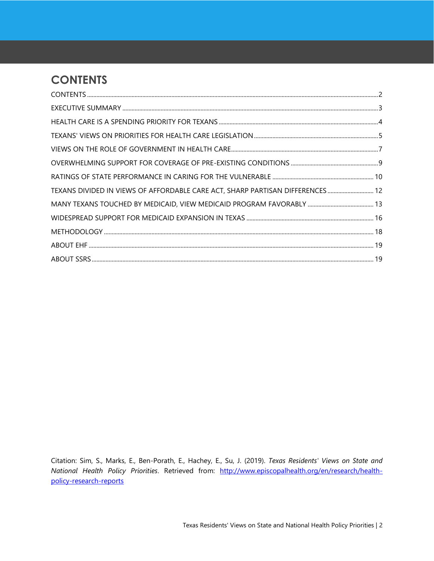# <span id="page-1-0"></span>**CONTENTS**

| TEXANS DIVIDED IN VIEWS OF AFFORDABLE CARE ACT, SHARP PARTISAN DIFFERENCES  12 |  |
|--------------------------------------------------------------------------------|--|
|                                                                                |  |
|                                                                                |  |
|                                                                                |  |
|                                                                                |  |
|                                                                                |  |

Citation: Sim, S., Marks, E., Ben-Porath, E., Hachey, E., Su, J. (2019). *Texas Residents' Views on State and National Health Policy Priorities*. Retrieved from: [http://www.episcopalhealth.org/en/research/health](http://www.episcopalhealth.org/en/research/health-policy-research-reports)[policy-research-reports](http://www.episcopalhealth.org/en/research/health-policy-research-reports)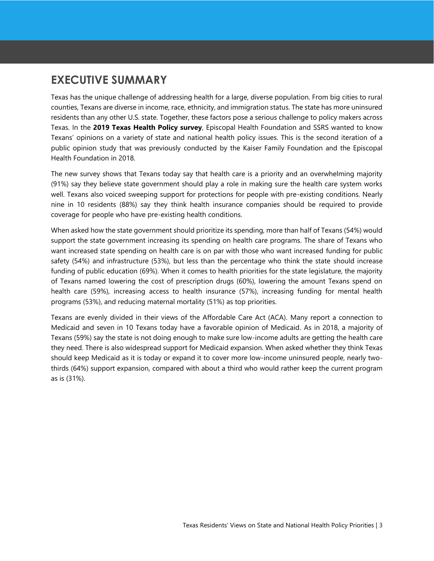### <span id="page-2-0"></span>**EXECUTIVE SUMMARY**

Texas has the unique challenge of addressing health for a large, diverse population. From big cities to rural counties, Texans are diverse in income, race, ethnicity, and immigration status. The state has more uninsured residents than any other U.S. state. Together, these factors pose a serious challenge to policy makers across Texas. In the **2019 Texas Health Policy survey**, Episcopal Health Foundation and SSRS wanted to know Texans' opinions on a variety of state and national health policy issues. This is the second iteration of a public opinion study that was previously conducted by the Kaiser Family Foundation and the Episcopal Health Foundation in 2018.

The new survey shows that Texans today say that health care is a priority and an overwhelming majority (91%) say they believe state government should play a role in making sure the health care system works well. Texans also voiced sweeping support for protections for people with pre-existing conditions. Nearly nine in 10 residents (88%) say they think health insurance companies should be required to provide coverage for people who have pre-existing health conditions.

When asked how the state government should prioritize its spending, more than half of Texans (54%) would support the state government increasing its spending on health care programs. The share of Texans who want increased state spending on health care is on par with those who want increased funding for public safety (54%) and infrastructure (53%), but less than the percentage who think the state should increase funding of public education (69%). When it comes to health priorities for the state legislature, the majority of Texans named lowering the cost of prescription drugs (60%), lowering the amount Texans spend on health care (59%), increasing access to health insurance (57%), increasing funding for mental health programs (53%), and reducing maternal mortality (51%) as top priorities.

Texans are evenly divided in their views of the Affordable Care Act (ACA). Many report a connection to Medicaid and seven in 10 Texans today have a favorable opinion of Medicaid. As in 2018, a majority of Texans (59%) say the state is not doing enough to make sure low-income adults are getting the health care they need. There is also widespread support for Medicaid expansion. When asked whether they think Texas should keep Medicaid as it is today or expand it to cover more low-income uninsured people, nearly twothirds (64%) support expansion, compared with about a third who would rather keep the current program as is (31%).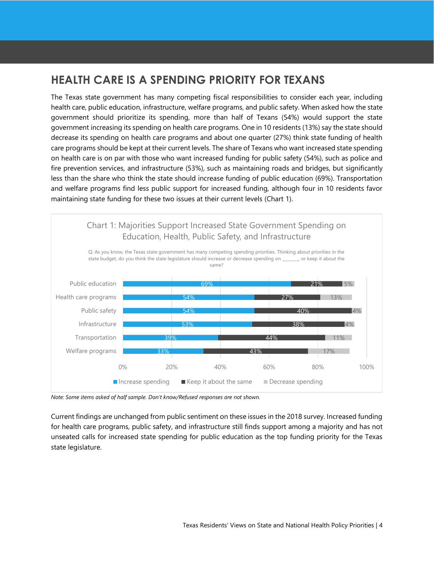# <span id="page-3-0"></span>**HEALTH CARE IS A SPENDING PRIORITY FOR TEXANS**

The Texas state government has many competing fiscal responsibilities to consider each year, including health care, public education, infrastructure, welfare programs, and public safety. When asked how the state government should prioritize its spending, more than half of Texans (54%) would support the state government increasing its spending on health care programs. One in 10 residents (13%) say the state should decrease its spending on health care programs and about one quarter (27%) think state funding of health care programs should be kept at their current levels. The share of Texans who want increased state spending on health care is on par with those who want increased funding for public safety (54%), such as police and fire prevention services, and infrastructure (53%), such as maintaining roads and bridges, but significantly less than the share who think the state should increase funding of public education (69%). Transportation and welfare programs find less public support for increased funding, although four in 10 residents favor maintaining state funding for these two issues at their current levels (Chart 1).



*Note: Some items asked of half sample. Don't know/Refused responses are not shown.*

Current findings are unchanged from public sentiment on these issues in the 2018 survey. Increased funding for health care programs, public safety, and infrastructure still finds support among a majority and has not unseated calls for increased state spending for public education as the top funding priority for the Texas state legislature.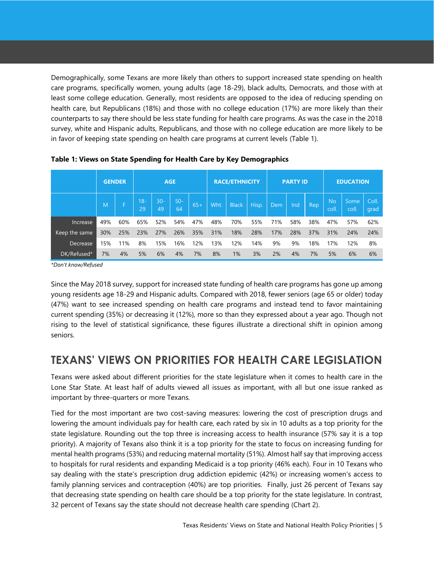Demographically, some Texans are more likely than others to support increased state spending on health care programs, specifically women, young adults (age 18-29), black adults, Democrats, and those with at least some college education. Generally, most residents are opposed to the idea of reducing spending on health care, but Republicans (18%) and those with no college education (17%) are more likely than their counterparts to say there should be less state funding for health care programs. As was the case in the 2018 survey, white and Hispanic adults, Republicans, and those with no college education are more likely to be in favor of keeping state spending on health care programs at current levels (Table 1).

|               | <b>GENDER</b> |     | <b>AGE</b>   |              |              | <b>RACE/ETHNICITY</b> |      |              | <b>PARTY ID</b> |     |     | <b>EDUCATION</b> |                    |              |               |
|---------------|---------------|-----|--------------|--------------|--------------|-----------------------|------|--------------|-----------------|-----|-----|------------------|--------------------|--------------|---------------|
|               | M             |     | $18 -$<br>29 | $30 -$<br>49 | $50 -$<br>64 | $65+$                 | Wht. | <b>Black</b> | Hisp.           | Dem | Ind | Rep              | <b>No</b><br>coll. | Some<br>coll | Coll.<br>grad |
| Increase.     | 49%           | 60% | 65%          | 52%          | 54%          | 47%                   | 48%  | 70%          | 55%             | 71% | 58% | 38%              | 47%                | 57%          | 62%           |
| Keep the same | 30%           | 25% | 23%          | 27%          | 26%          | 35%                   | 31%  | 18%          | 28%             | 17% | 28% | 37%              | 31%                | 24%          | 24%           |
| Decrease      | 15%           | 11% | 8%           | 15%          | 16%          | 12%                   | 13%  | 12%          | 14%             | 9%  | 9%  | 18%              | 17%                | 12%          | 8%            |
| DK/Refused*   | 7%            | 4%  | 5%           | 6%           | 4%           | 7%                    | 8%   | 1%           | 3%              | 2%  | 4%  | 7%               | 5%                 | 6%           | 6%            |

**Table 1: Views on State Spending for Health Care by Key Demographics**

*\*Don't know/Refused*

Since the May 2018 survey, support for increased state funding of health care programs has gone up among young residents age 18-29 and Hispanic adults. Compared with 2018, fewer seniors (age 65 or older) today (47%) want to see increased spending on health care programs and instead tend to favor maintaining current spending (35%) or decreasing it (12%), more so than they expressed about a year ago. Though not rising to the level of statistical significance, these figures illustrate a directional shift in opinion among seniors.

### <span id="page-4-0"></span>**TEXANS' VIEWS ON PRIORITIES FOR HEALTH CARE LEGISLATION**

Texans were asked about different priorities for the state legislature when it comes to health care in the Lone Star State. At least half of adults viewed all issues as important, with all but one issue ranked as important by three-quarters or more Texans.

Tied for the most important are two cost-saving measures: lowering the cost of prescription drugs and lowering the amount individuals pay for health care, each rated by six in 10 adults as a top priority for the state legislature. Rounding out the top three is increasing access to health insurance (57% say it is a top priority). A majority of Texans also think it is a top priority for the state to focus on increasing funding for mental health programs (53%) and reducing maternal mortality (51%). Almost half say that improving access to hospitals for rural residents and expanding Medicaid is a top priority (46% each). Four in 10 Texans who say dealing with the state's prescription drug addiction epidemic (42%) or increasing women's access to family planning services and contraception (40%) are top priorities. Finally, just 26 percent of Texans say that decreasing state spending on health care should be a top priority for the state legislature. In contrast, 32 percent of Texans say the state should not decrease health care spending (Chart 2).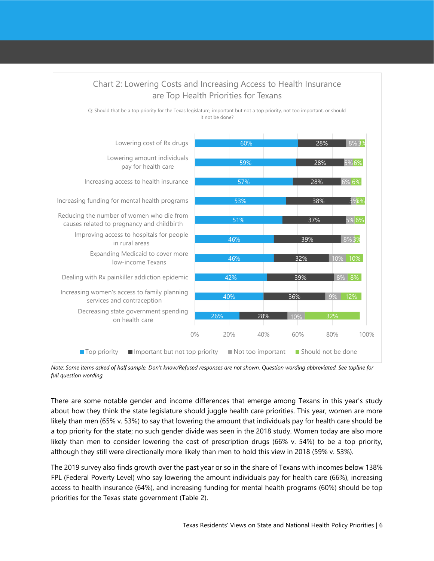

*Note: Some items asked of half sample. Don't know/Refused responses are not shown. Question wording abbreviated. See topline for full question wording.*

There are some notable gender and income differences that emerge among Texans in this year's study about how they think the state legislature should juggle health care priorities. This year, women are more likely than men (65% v. 53%) to say that lowering the amount that individuals pay for health care should be a top priority for the state; no such gender divide was seen in the 2018 study. Women today are also more likely than men to consider lowering the cost of prescription drugs (66% v. 54%) to be a top priority, although they still were directionally more likely than men to hold this view in 2018 (59% v. 53%).

The 2019 survey also finds growth over the past year or so in the share of Texans with incomes below 138% FPL (Federal Poverty Level) who say lowering the amount individuals pay for health care (66%), increasing access to health insurance (64%), and increasing funding for mental health programs (60%) should be top priorities for the Texas state government (Table 2).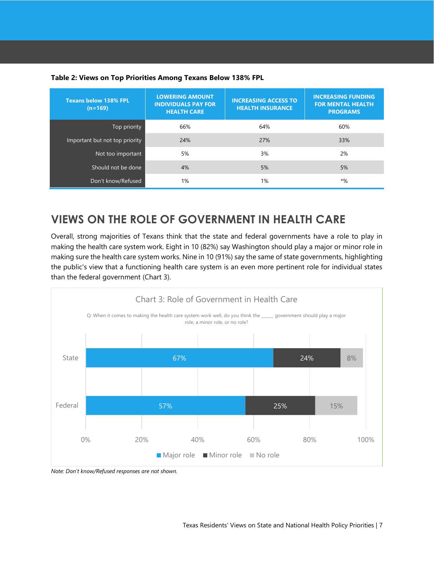#### **Table 2: Views on Top Priorities Among Texans Below 138% FPL**

| <b>Texans below 138% FPL</b><br>$(n=169)$ | <b>LOWERING AMOUNT</b><br><b>INDIVIDUALS PAY FOR</b><br><b>HEALTH CARE</b> | <b>INCREASING ACCESS TO</b><br><b>HEALTH INSURANCE</b> | <b>INCREASING FUNDING</b><br><b>FOR MENTAL HEALTH</b><br><b>PROGRAMS</b> |
|-------------------------------------------|----------------------------------------------------------------------------|--------------------------------------------------------|--------------------------------------------------------------------------|
| Top priority                              | 66%                                                                        | 64%                                                    | 60%                                                                      |
| Important but not top priority            | 24%                                                                        | 27%                                                    | 33%                                                                      |
| Not too important                         | 5%                                                                         | 3%                                                     | 2%                                                                       |
| Should not be done                        | 4%                                                                         | 5%                                                     | 5%                                                                       |
| Don't know/Refused                        | 1%                                                                         | 1%                                                     | $*%$                                                                     |

### <span id="page-6-0"></span>**VIEWS ON THE ROLE OF GOVERNMENT IN HEALTH CARE**

Overall, strong majorities of Texans think that the state and federal governments have a role to play in making the health care system work. Eight in 10 (82%) say Washington should play a major or minor role in making sure the health care system works. Nine in 10 (91%) say the same of state governments, highlighting the public's view that a functioning health care system is an even more pertinent role for individual states than the federal government (Chart 3).



*Note: Don't know/Refused responses are not shown.*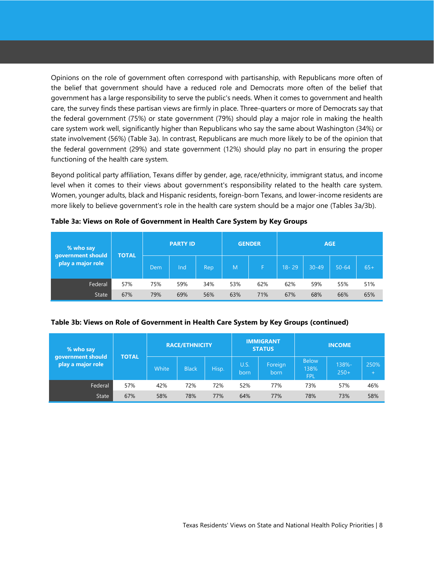Opinions on the role of government often correspond with partisanship, with Republicans more often of the belief that government should have a reduced role and Democrats more often of the belief that government has a large responsibility to serve the public's needs. When it comes to government and health care, the survey finds these partisan views are firmly in place. Three-quarters or more of Democrats say that the federal government (75%) or state government (79%) should play a major role in making the health care system work well, significantly higher than Republicans who say the same about Washington (34%) or state involvement (56%) (Table 3a). In contrast, Republicans are much more likely to be of the opinion that the federal government (29%) and state government (12%) should play no part in ensuring the proper functioning of the health care system.

Beyond political party affiliation, Texans differ by gender, age, race/ethnicity, immigrant status, and income level when it comes to their views about government's responsibility related to the health care system. Women, younger adults, black and Hispanic residents, foreign-born Texans, and lower-income residents are more likely to believe government's role in the health care system should be a major one (Tables 3a/3b).

| % who say<br>government should<br>play a major role | <b>TOTAL</b> |      | <b>PARTY ID</b> |      |     | <b>GENDER</b> | <b>AGE</b> |           |           |       |  |
|-----------------------------------------------------|--------------|------|-----------------|------|-----|---------------|------------|-----------|-----------|-------|--|
|                                                     |              | Dem/ | Ind             | Rep. | M   | F             | $18 - 29$  | $30 - 49$ | $50 - 64$ | $65+$ |  |
| Federal                                             | 57%          | 75%  | 59%             | 34%  | 53% | 62%           | 62%        | 59%       | 55%       | 51%   |  |
| <b>State</b>                                        | 67%          | 79%  | 69%             | 56%  | 63% | 71%           | 67%        | 68%       | 66%       | 65%   |  |

**Table 3a: Views on Role of Government in Health Care System by Key Groups**

#### **Table 3b: Views on Role of Government in Health Care System by Key Groups (continued)**

| % who say<br>government should<br>play a major role | <b>TOTAL</b> |       | <b>RACE/ETHNICITY</b> |       |              | <b>IMMIGRANT</b><br><b>STATUS</b> | <b>INCOME</b>                      |                 |             |  |
|-----------------------------------------------------|--------------|-------|-----------------------|-------|--------------|-----------------------------------|------------------------------------|-----------------|-------------|--|
|                                                     |              | White | <b>Black</b>          | Hisp. | U.S.<br>born | Foreign<br>born                   | <b>Below</b><br>138%<br><b>FPL</b> | 138%-<br>$250+$ | 250%<br>$+$ |  |
| Federal                                             | 57%          | 42%   | 72%                   | 72%   | 52%          | 77%                               | 73%                                | 57%             | 46%         |  |
| <b>State</b>                                        | 67%          | 58%   | 78%                   | 77%   | 64%          | 77%                               | 78%                                | 73%             | 58%         |  |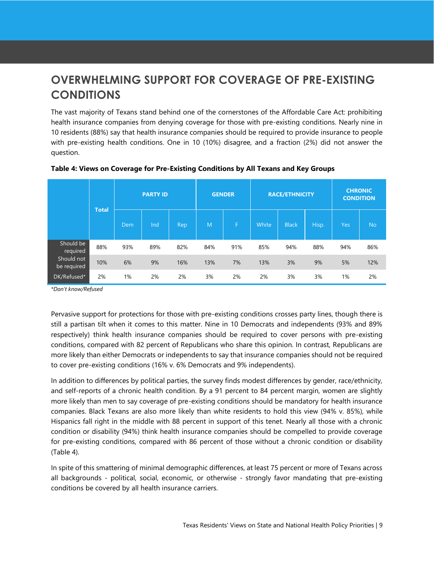# <span id="page-8-0"></span>**OVERWHELMING SUPPORT FOR COVERAGE OF PRE-EXISTING CONDITIONS**

The vast majority of Texans stand behind one of the cornerstones of the Affordable Care Act: prohibiting health insurance companies from denying coverage for those with pre-existing conditions. Nearly nine in 10 residents (88%) say that health insurance companies should be required to provide insurance to people with pre-existing health conditions. One in 10 (10%) disagree, and a fraction (2%) did not answer the question.

|                           | <b>Total</b> | <b>PARTY ID</b> |     |     | <b>GENDER</b> |     |       | <b>RACE/ETHNICITY</b> | <b>CHRONIC</b><br><b>CONDITION</b> |            |           |
|---------------------------|--------------|-----------------|-----|-----|---------------|-----|-------|-----------------------|------------------------------------|------------|-----------|
|                           |              | Dem             | Ind | Rep | M             | F   | White | <b>Black</b>          | Hisp.                              | <b>Yes</b> | <b>No</b> |
| Should be<br>required     | 88%          | 93%             | 89% | 82% | 84%           | 91% | 85%   | 94%                   | 88%                                | 94%        | 86%       |
| Should not<br>be required | 10%          | 6%              | 9%  | 16% | 13%           | 7%  | 13%   | 3%                    | 9%                                 | 5%         | 12%       |
| DK/Refused*               | 2%           | 1%              | 2%  | 2%  | 3%            | 2%  | 2%    | 3%                    | 3%                                 | 1%         | 2%        |

#### **Table 4: Views on Coverage for Pre-Existing Conditions by All Texans and Key Groups**

*\*Don't know/Refused*

Pervasive support for protections for those with pre-existing conditions crosses party lines, though there is still a partisan tilt when it comes to this matter. Nine in 10 Democrats and independents (93% and 89% respectively) think health insurance companies should be required to cover persons with pre-existing conditions, compared with 82 percent of Republicans who share this opinion. In contrast, Republicans are more likely than either Democrats or independents to say that insurance companies should not be required to cover pre-existing conditions (16% v. 6% Democrats and 9% independents).

In addition to differences by political parties, the survey finds modest differences by gender, race/ethnicity, and self-reports of a chronic health condition. By a 91 percent to 84 percent margin, women are slightly more likely than men to say coverage of pre-existing conditions should be mandatory for health insurance companies. Black Texans are also more likely than white residents to hold this view (94% v. 85%), while Hispanics fall right in the middle with 88 percent in support of this tenet. Nearly all those with a chronic condition or disability (94%) think health insurance companies should be compelled to provide coverage for pre-existing conditions, compared with 86 percent of those without a chronic condition or disability (Table 4).

In spite of this smattering of minimal demographic differences, at least 75 percent or more of Texans across all backgrounds - political, social, economic, or otherwise - strongly favor mandating that pre-existing conditions be covered by all health insurance carriers.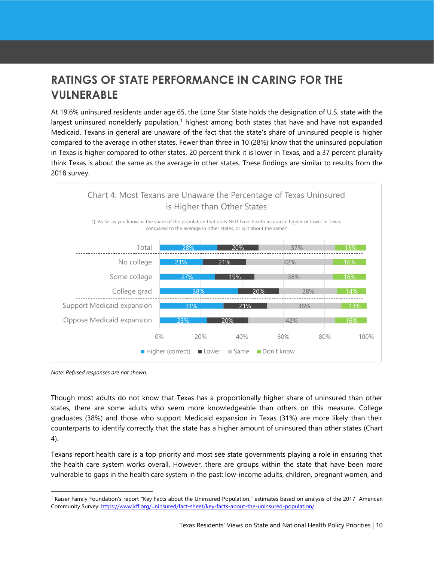# <span id="page-9-0"></span>**RATINGS OF STATE PERFORMANCE IN CARING FOR THE VULNERABLE**

At 19.6% uninsured residents under age 65, the Lone Star State holds the designation of U.S. state with the largest uninsured nonelderly population, $1$  highest among both states that have and have not expanded Medicaid. Texans in general are unaware of the fact that the state's share of uninsured people is higher compared to the average in other states. Fewer than three in 10 (28%) know that the uninsured population in Texas is higher compared to other states, 20 percent think it is lower in Texas, and a 37 percent plurality think Texas is about the same as the average in other states. These findings are similar to results from the 2018 survey.



*Note: Refused responses are not shown.*

l

Though most adults do not know that Texas has a proportionally higher share of uninsured than other states, there are some adults who seem more knowledgeable than others on this measure. College graduates (38%) and those who support Medicaid expansion in Texas (31%) are more likely than their counterparts to identify correctly that the state has a higher amount of uninsured than other states (Chart 4).

Texans report health care is a top priority and most see state governments playing a role in ensuring that the health care system works overall. However, there are groups within the state that have been more vulnerable to gaps in the health care system in the past: low-income adults, children, pregnant women, and

<sup>1</sup> Kaiser Family Foundation's report "Key Facts about the Uninsured Population," estimates based on analysis of the 2017 American Community Survey[: https://www.kff.org/uninsured/fact-sheet/key-facts-about-the-uninsured-population/](https://www.kff.org/uninsured/fact-sheet/key-facts-about-the-uninsured-population/)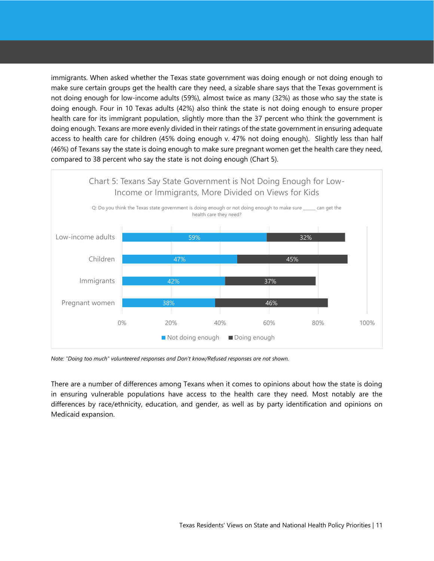immigrants. When asked whether the Texas state government was doing enough or not doing enough to make sure certain groups get the health care they need, a sizable share says that the Texas government is not doing enough for low-income adults (59%), almost twice as many (32%) as those who say the state is doing enough. Four in 10 Texas adults (42%) also think the state is not doing enough to ensure proper health care for its immigrant population, slightly more than the 37 percent who think the government is doing enough. Texans are more evenly divided in their ratings of the state government in ensuring adequate access to health care for children (45% doing enough v. 47% not doing enough). Slightly less than half (46%) of Texans say the state is doing enough to make sure pregnant women get the health care they need, compared to 38 percent who say the state is not doing enough (Chart 5).



*Note: "Doing too much" volunteered responses and Don't know/Refused responses are not shown.*

There are a number of differences among Texans when it comes to opinions about how the state is doing in ensuring vulnerable populations have access to the health care they need. Most notably are the differences by race/ethnicity, education, and gender, as well as by party identification and opinions on Medicaid expansion.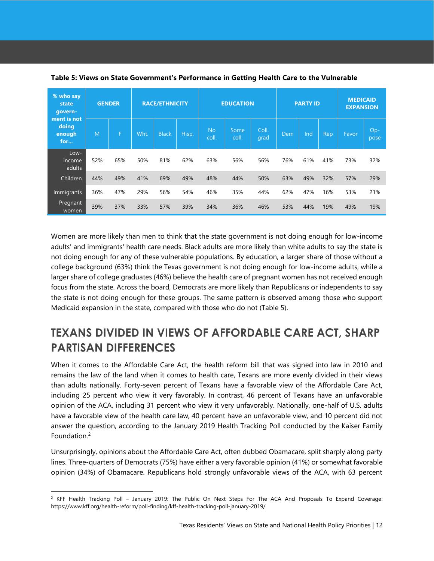| % who say<br>state<br>govern-         | <b>GENDER</b> |     | <b>RACE/ETHNICITY</b> |              |       |                    | <b>EDUCATION</b> |               | <b>PARTY ID</b> | <b>MEDICAID</b><br><b>EXPANSION</b> |     |       |               |
|---------------------------------------|---------------|-----|-----------------------|--------------|-------|--------------------|------------------|---------------|-----------------|-------------------------------------|-----|-------|---------------|
| ment is not<br>doing<br>enough<br>for | M             | F   | Wht.                  | <b>Black</b> | Hisp. | <b>No</b><br>coll. | Some<br>coll.    | Coll.<br>grad | Dem             | Ind                                 | Rep | Favor | $Op-$<br>pose |
| Low-<br>income<br>adults              | 52%           | 65% | 50%                   | 81%          | 62%   | 63%                | 56%              | 56%           | 76%             | 61%                                 | 41% | 73%   | 32%           |
| Children                              | 44%           | 49% | 41%                   | 69%          | 49%   | 48%                | 44%              | 50%           | 63%             | 49%                                 | 32% | 57%   | 29%           |
| Immigrants                            | 36%           | 47% | 29%                   | 56%          | 54%   | 46%                | 35%              | 44%           | 62%             | 47%                                 | 16% | 53%   | 21%           |
| Pregnant<br>women                     | 39%           | 37% | 33%                   | 57%          | 39%   | 34%                | 36%              | 46%           | 53%             | 44%                                 | 19% | 49%   | 19%           |

**Table 5: Views on State Government's Performance in Getting Health Care to the Vulnerable**

Women are more likely than men to think that the state government is not doing enough for low-income adults' and immigrants' health care needs. Black adults are more likely than white adults to say the state is not doing enough for any of these vulnerable populations. By education, a larger share of those without a college background (63%) think the Texas government is not doing enough for low-income adults, while a larger share of college graduates (46%) believe the health care of pregnant women has not received enough focus from the state. Across the board, Democrats are more likely than Republicans or independents to say the state is not doing enough for these groups. The same pattern is observed among those who support Medicaid expansion in the state, compared with those who do not (Table 5).

# <span id="page-11-0"></span>**TEXANS DIVIDED IN VIEWS OF AFFORDABLE CARE ACT, SHARP PARTISAN DIFFERENCES**

When it comes to the Affordable Care Act, the health reform bill that was signed into law in 2010 and remains the law of the land when it comes to health care, Texans are more evenly divided in their views than adults nationally. Forty-seven percent of Texans have a favorable view of the Affordable Care Act, including 25 percent who view it very favorably. In contrast, 46 percent of Texans have an unfavorable opinion of the ACA, including 31 percent who view it very unfavorably. Nationally, one-half of U.S. adults have a favorable view of the health care law, 40 percent have an unfavorable view, and 10 percent did not answer the question, according to the January 2019 Health Tracking Poll conducted by the Kaiser Family Foundation.<sup>2</sup>

Unsurprisingly, opinions about the Affordable Care Act, often dubbed Obamacare, split sharply along party lines. Three-quarters of Democrats (75%) have either a very favorable opinion (41%) or somewhat favorable opinion (34%) of Obamacare. Republicans hold strongly unfavorable views of the ACA, with 63 percent

l

 $2$  KFF Health Tracking Poll – January 2019: The Public On Next Steps For The ACA And Proposals To Expand Coverage: https://www.kff.org/health-reform/poll-finding/kff-health-tracking-poll-january-2019/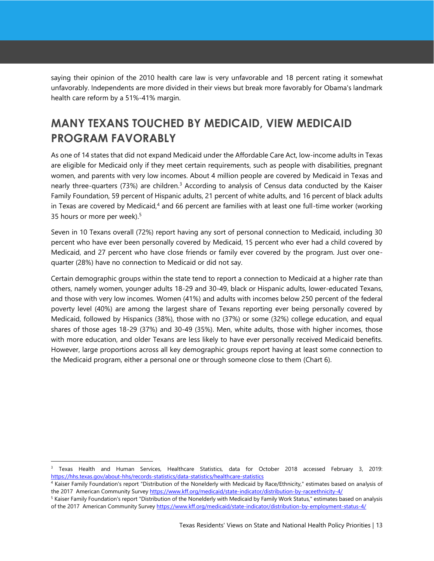saying their opinion of the 2010 health care law is very unfavorable and 18 percent rating it somewhat unfavorably. Independents are more divided in their views but break more favorably for Obama's landmark health care reform by a 51%-41% margin.

# <span id="page-12-0"></span>**MANY TEXANS TOUCHED BY MEDICAID, VIEW MEDICAID PROGRAM FAVORABLY**

As one of 14 states that did not expand Medicaid under the Affordable Care Act, low-income adults in Texas are eligible for Medicaid only if they meet certain requirements, such as people with disabilities, pregnant women, and parents with very low incomes. About 4 million people are covered by Medicaid in Texas and nearly three-quarters (73%) are children.<sup>3</sup> According to analysis of Census data conducted by the Kaiser Family Foundation, 59 percent of Hispanic adults, 21 percent of white adults, and 16 percent of black adults in Texas are covered by Medicaid,<sup>4</sup> and 66 percent are families with at least one full-time worker (working 35 hours or more per week).<sup>5</sup>

Seven in 10 Texans overall (72%) report having any sort of personal connection to Medicaid, including 30 percent who have ever been personally covered by Medicaid, 15 percent who ever had a child covered by Medicaid, and 27 percent who have close friends or family ever covered by the program. Just over onequarter (28%) have no connection to Medicaid or did not say.

Certain demographic groups within the state tend to report a connection to Medicaid at a higher rate than others, namely women, younger adults 18-29 and 30-49, black or Hispanic adults, lower-educated Texans, and those with very low incomes. Women (41%) and adults with incomes below 250 percent of the federal poverty level (40%) are among the largest share of Texans reporting ever being personally covered by Medicaid, followed by Hispanics (38%), those with no (37%) or some (32%) college education, and equal shares of those ages 18-29 (37%) and 30-49 (35%). Men, white adults, those with higher incomes, those with more education, and older Texans are less likely to have ever personally received Medicaid benefits. However, large proportions across all key demographic groups report having at least some connection to the Medicaid program, either a personal one or through someone close to them (Chart 6).

l

<sup>&</sup>lt;sup>3</sup> Texas Health and Human Services, Healthcare Statistics, data for October 2018 accessed February 3, 2019: <https://hhs.texas.gov/about-hhs/records-statistics/data-statistics/healthcare-statistics>

<sup>4</sup> Kaiser Family Foundation's report "Distribution of the Nonelderly with Medicaid by Race/Ethnicity," estimates based on analysis of the 2017 American Community Surve[y https://www.kff.org/medicaid/state-indicator/distribution-by-raceethnicity-4/](https://www.kff.org/medicaid/state-indicator/distribution-by-raceethnicity-4/)

<sup>&</sup>lt;sup>5</sup> Kaiser Family Foundation's report "Distribution of the Nonelderly with Medicaid by Family Work Status," estimates based on analysis of the 2017 American Community Survey<https://www.kff.org/medicaid/state-indicator/distribution-by-employment-status-4/>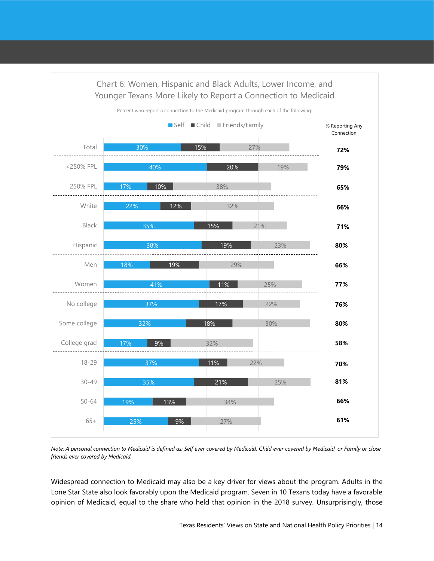

*Note: A personal connection to Medicaid is defined as: Self ever covered by Medicaid, Child ever covered by Medicaid, or Family or close friends ever covered by Medicaid.*

Widespread connection to Medicaid may also be a key driver for views about the program. Adults in the Lone Star State also look favorably upon the Medicaid program. Seven in 10 Texans today have a favorable opinion of Medicaid, equal to the share who held that opinion in the 2018 survey. Unsurprisingly, those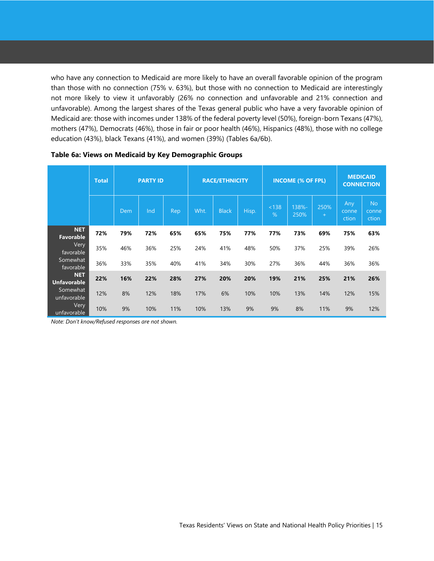who have any connection to Medicaid are more likely to have an overall favorable opinion of the program than those with no connection (75% v. 63%), but those with no connection to Medicaid are interestingly not more likely to view it unfavorably (26% no connection and unfavorable and 21% connection and unfavorable). Among the largest shares of the Texas general public who have a very favorable opinion of Medicaid are: those with incomes under 138% of the federal poverty level (50%), foreign-born Texans (47%), mothers (47%), Democrats (46%), those in fair or poor health (46%), Hispanics (48%), those with no college education (43%), black Texans (41%), and women (39%) (Tables 6a/6b).

|                                  | <b>Total</b> | <b>PARTY ID</b> |     |     |      | <b>RACE/ETHNICITY</b> |       |            | <b>INCOME (% OF FPL)</b> | <b>MEDICAID</b><br><b>CONNECTION</b> |                       |                             |
|----------------------------------|--------------|-----------------|-----|-----|------|-----------------------|-------|------------|--------------------------|--------------------------------------|-----------------------|-----------------------------|
|                                  |              | Dem             | Ind | Rep | Wht. | <b>Black</b>          | Hisp. | < 138<br>% | 138%-<br>250%            | 250%<br>$+$                          | Any<br>conne<br>ction | <b>No</b><br>conne<br>ction |
| <b>NET</b><br><b>Favorable</b>   | 72%          | 79%             | 72% | 65% | 65%  | 75%                   | 77%   | 77%        | 73%                      | 69%                                  | 75%                   | 63%                         |
| Very<br>favorable                | 35%          | 46%             | 36% | 25% | 24%  | 41%                   | 48%   | 50%        | 37%                      | 25%                                  | 39%                   | 26%                         |
| Somewhat<br>favorable            | 36%          | 33%             | 35% | 40% | 41%  | 34%                   | 30%   | 27%        | 36%                      | 44%                                  | 36%                   | 36%                         |
| <b>NET</b><br><b>Unfavorable</b> | 22%          | 16%             | 22% | 28% | 27%  | 20%                   | 20%   | 19%        | 21%                      | 25%                                  | 21%                   | 26%                         |
| Somewhat<br>unfavorable          | 12%          | 8%              | 12% | 18% | 17%  | 6%                    | 10%   | 10%        | 13%                      | 14%                                  | 12%                   | 15%                         |
| Very<br>unfavorable              | 10%          | 9%              | 10% | 11% | 10%  | 13%                   | 9%    | 9%         | 8%                       | 11%                                  | 9%                    | 12%                         |

#### **Table 6a: Views on Medicaid by Key Demographic Groups**

*Note: Don't know/Refused responses are not shown.*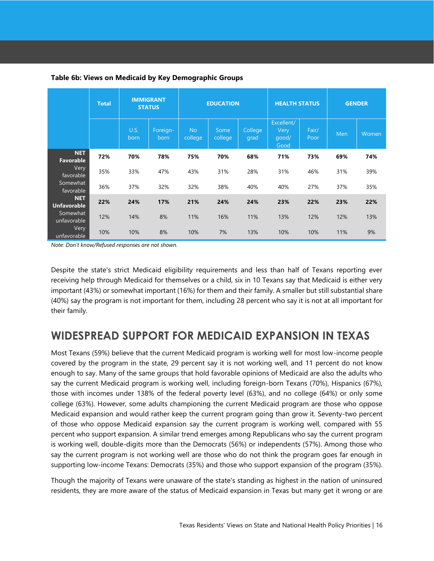|                                  | <b>Total</b> |              | <b>IMMIGRANT</b><br><b>STATUS</b> |                      | <b>EDUCATION</b> |                 | <b>HEALTH STATUS</b>                |               | <b>GENDER</b> |       |  |
|----------------------------------|--------------|--------------|-----------------------------------|----------------------|------------------|-----------------|-------------------------------------|---------------|---------------|-------|--|
|                                  |              | U.S.<br>born | Foreign-<br>born                  | <b>No</b><br>college | Some<br>college  | College<br>grad | Excellent/<br>Very<br>qood/<br>Good | Fair/<br>Poor | Men           | Women |  |
| <b>NET</b><br><b>Favorable</b>   | 72%          | 70%          | 78%                               | 75%                  | 70%              | 68%             | 71%                                 | 73%           | 69%           | 74%   |  |
| Very<br>favorable                | 35%          | 33%          | 47%                               | 43%                  | 31%              | 28%             | 31%                                 | 46%           | 31%           | 39%   |  |
| Somewhat<br>favorable            | 36%          | 37%          | 32%                               | 32%                  | 38%              | 40%             | 40%                                 | 27%           | 37%           | 35%   |  |
| <b>NET</b><br><b>Unfavorable</b> | 22%          | 24%          | 17%                               | 21%                  | 24%              | 24%             | 23%                                 | 22%           | 23%           | 22%   |  |
| Somewhat<br>unfavorable          | 12%          | 14%          | 8%                                | 11%                  | 16%              | 11%             | 13%                                 | 12%           | 12%           | 13%   |  |
| Very<br>unfavorable              | 10%          | 10%          | 8%                                | 10%                  | 7%               | 13%             | 10%                                 | 10%           | 11%           | 9%    |  |

#### **Table 6b: Views on Medicaid by Key Demographic Groups**

*Note: Don't know/Refused responses are not shown.*

Despite the state's strict Medicaid eligibility requirements and less than half of Texans reporting ever receiving help through Medicaid for themselves or a child, six in 10 Texans say that Medicaid is either very important (43%) or somewhat important (16%) for them and their family. A smaller but still substantial share (40%) say the program is not important for them, including 28 percent who say it is not at all important for their family.

### <span id="page-15-0"></span>**WIDESPREAD SUPPORT FOR MEDICAID EXPANSION IN TEXAS**

Most Texans (59%) believe that the current Medicaid program is working well for most low-income people covered by the program in the state, 29 percent say it is not working well, and 11 percent do not know enough to say. Many of the same groups that hold favorable opinions of Medicaid are also the adults who say the current Medicaid program is working well, including foreign-born Texans (70%), Hispanics (67%), those with incomes under 138% of the federal poverty level (63%), and no college (64%) or only some college (63%). However, some adults championing the current Medicaid program are those who oppose Medicaid expansion and would rather keep the current program going than grow it. Seventy-two percent of those who oppose Medicaid expansion say the current program is working well, compared with 55 percent who support expansion. A similar trend emerges among Republicans who say the current program is working well, double-digits more than the Democrats (56%) or independents (57%). Among those who say the current program is not working well are those who do not think the program goes far enough in supporting low-income Texans: Democrats (35%) and those who support expansion of the program (35%).

Though the majority of Texans were unaware of the state's standing as highest in the nation of uninsured residents, they are more aware of the status of Medicaid expansion in Texas but many get it wrong or are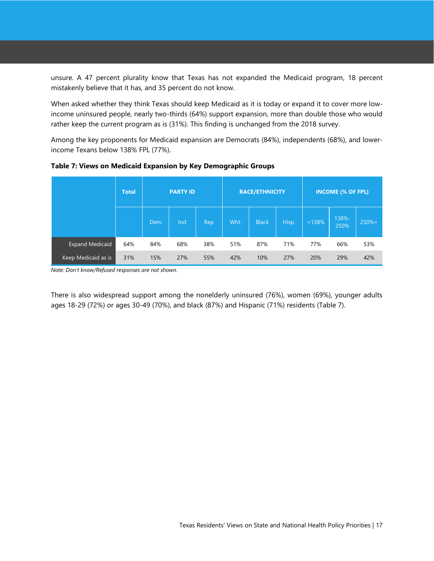unsure. A 47 percent plurality know that Texas has not expanded the Medicaid program, 18 percent mistakenly believe that it has, and 35 percent do not know.

When asked whether they think Texas should keep Medicaid as it is today or expand it to cover more lowincome uninsured people, nearly two-thirds (64%) support expansion, more than double those who would rather keep the current program as is (31%). This finding is unchanged from the 2018 survey.

Among the key proponents for Medicaid expansion are Democrats (84%), independents (68%), and lowerincome Texans below 138% FPL (77%).

|                        | <b>Total</b> |     | <b>PARTY ID</b> |      |      | <b>RACE/ETHNICITY</b> |       | <b>INCOME (% OF FPL)</b> |               |         |  |
|------------------------|--------------|-----|-----------------|------|------|-----------------------|-------|--------------------------|---------------|---------|--|
|                        |              | Dem | Ind             | Rep. | Wht. | <b>Black</b>          | Hisp. | < 138%                   | 138%-<br>250% | $250%+$ |  |
| <b>Expand Medicaid</b> | 64%          | 84% | 68%             | 38%  | 51%  | 87%                   | 71%   | 77%                      | 66%           | 53%     |  |
| Keep Medicaid as is    | 31%          | 15% | 27%             | 55%  | 42%  | 10%                   | 27%   | 20%                      | 29%           | 42%     |  |

**Table 7: Views on Medicaid Expansion by Key Demographic Groups**

*Note: Don't know/Refused responses are not shown.*

There is also widespread support among the nonelderly uninsured (76%), women (69%), younger adults ages 18-29 (72%) or ages 30-49 (70%), and black (87%) and Hispanic (71%) residents (Table 7).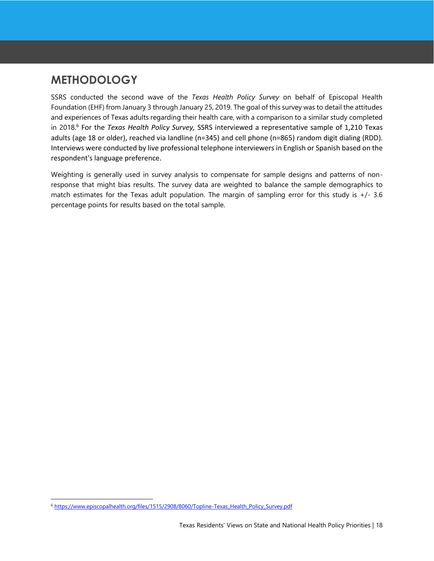# <span id="page-17-0"></span>**METHODOLOGY**

SSRS conducted the second wave of the *Texas Health Policy Survey* on behalf of Episcopal Health Foundation (EHF) from January 3 through January 25, 2019. The goal of this survey was to detail the attitudes and experiences of Texas adults regarding their health care, with a comparison to a similar study completed in 2018. 6 For the *Texas Health Policy Survey,* SSRS interviewed a representative sample of 1,210 Texas adults (age 18 or older), reached via landline (n=345) and cell phone (n=865) random digit dialing (RDD). Interviews were conducted by live professional telephone interviewers in English or Spanish based on the respondent's language preference.

Weighting is generally used in survey analysis to compensate for sample designs and patterns of nonresponse that might bias results. The survey data are weighted to balance the sample demographics to match estimates for the Texas adult population. The margin of sampling error for this study is +/- 3.6 percentage points for results based on the total sample.

l

<sup>6</sup> [https://www.episcopalhealth.org/files/1515/2908/8060/Topline-Texas\\_Health\\_Policy\\_Survey.pdf](https://www.episcopalhealth.org/files/1515/2908/8060/Topline-Texas_Health_Policy_Survey.pdf)